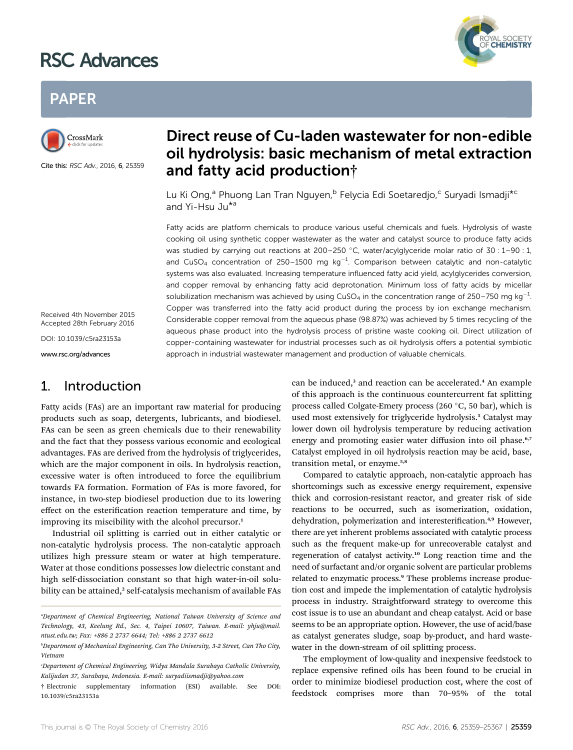# RSC Advances



## PAPER



Cite this: RSC Adv., 2016, 6, 25359

## Direct reuse of Cu-laden wastewater for non-edible oil hydrolysis: basic mechanism of metal extraction and fatty acid production†

Lu Ki Ong,<sup>a</sup> Phuong Lan Tran Nguyen,<sup>b</sup> Felycia Edi Soetaredjo,<sup>c</sup> Suryadi Ismadji<sup>\*c</sup> and Yi-Hsu Ju\*a

Fatty acids are platform chemicals to produce various useful chemicals and fuels. Hydrolysis of waste cooking oil using synthetic copper wastewater as the water and catalyst source to produce fatty acids was studied by carrying out reactions at 200–250 °C, water/acylglyceride molar ratio of 30 :  $1-90$  : 1, and CuSO<sub>4</sub> concentration of 250–1500 mg  $kg^{-1}$ . Comparison between catalytic and non-catalytic systems was also evaluated. Increasing temperature influenced fatty acid yield, acylglycerides conversion, and copper removal by enhancing fatty acid deprotonation. Minimum loss of fatty acids by micellar solubilization mechanism was achieved by using CuSO<sub>4</sub> in the concentration range of 250–750 mg kg<sup>-1</sup>. Copper was transferred into the fatty acid product during the process by ion exchange mechanism. Considerable copper removal from the aqueous phase (98.87%) was achieved by 5 times recycling of the aqueous phase product into the hydrolysis process of pristine waste cooking oil. Direct utilization of copper-containing wastewater for industrial processes such as oil hydrolysis offers a potential symbiotic approach in industrial wastewater management and production of valuable chemicals.

Received 4th November 2015 Accepted 28th February 2016

DOI: 10.1039/c5ra23153a

www.rsc.org/advances

## 1. Introduction

Fatty acids (FAs) are an important raw material for producing products such as soap, detergents, lubricants, and biodiesel. FAs can be seen as green chemicals due to their renewability and the fact that they possess various economic and ecological advantages. FAs are derived from the hydrolysis of triglycerides, which are the major component in oils. In hydrolysis reaction, excessive water is often introduced to force the equilibrium towards FA formation. Formation of FAs is more favored, for instance, in two-step biodiesel production due to its lowering effect on the esterification reaction temperature and time, by improving its miscibility with the alcohol precursor.<sup>1</sup>

Industrial oil splitting is carried out in either catalytic or non-catalytic hydrolysis process. The non-catalytic approach utilizes high pressure steam or water at high temperature. Water at those conditions possesses low dielectric constant and high self-dissociation constant so that high water-in-oil solubility can be attained,<sup>2</sup> self-catalysis mechanism of available FAs can be induced,<sup>3</sup> and reaction can be accelerated.<sup>4</sup> An example of this approach is the continuous countercurrent fat splitting process called Colgate-Emery process (260 $\degree$ C, 50 bar), which is used most extensively for triglyceride hydrolysis.<sup>5</sup> Catalyst may lower down oil hydrolysis temperature by reducing activation energy and promoting easier water diffusion into oil phase.<sup>6,7</sup> Catalyst employed in oil hydrolysis reaction may be acid, base, transition metal, or enzyme.5,8

Compared to catalytic approach, non-catalytic approach has shortcomings such as excessive energy requirement, expensive thick and corrosion-resistant reactor, and greater risk of side reactions to be occurred, such as isomerization, oxidation, dehydration, polymerization and interesterification.<sup>4,9</sup> However, there are yet inherent problems associated with catalytic process such as the frequent make-up for unrecoverable catalyst and regeneration of catalyst activity.<sup>10</sup> Long reaction time and the need of surfactant and/or organic solvent are particular problems related to enzymatic process.<sup>9</sup> These problems increase production cost and impede the implementation of catalytic hydrolysis process in industry. Straightforward strategy to overcome this cost issue is to use an abundant and cheap catalyst. Acid or base seems to be an appropriate option. However, the use of acid/base as catalyst generates sludge, soap by-product, and hard wastewater in the down-stream of oil splitting process.

The employment of low-quality and inexpensive feedstock to replace expensive refined oils has been found to be crucial in order to minimize biodiesel production cost, where the cost of feedstock comprises more than 70–95% of the total

a Department of Chemical Engineering, National Taiwan University of Science and Technology, 43, Keelung Rd., Sec. 4, Taipei 10607, Taiwan. E-mail: yhju@mail. ntust.edu.tw; Fax: +886 2 2737 6644; Tel: +886 2 2737 6612

b Department of Mechanical Engineering, Can Tho University, 3-2 Street, Can Tho City, Vietnam

c Department of Chemical Engineering, Widya Mandala Surabaya Catholic University, Kalijudan 37, Surabaya, Indonesia. E-mail: suryadiismadji@yahoo.com

<sup>†</sup> Electronic supplementary information (ESI) available. See DOI: 10.1039/c5ra23153a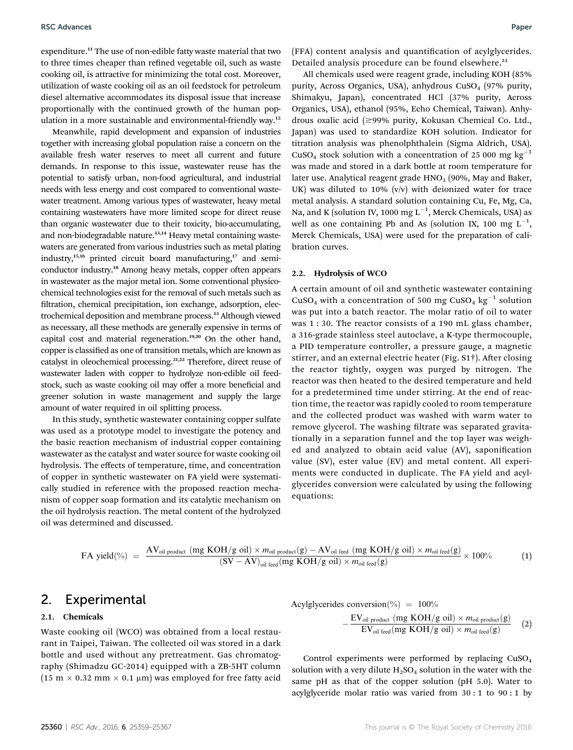expenditure.<sup>11</sup> The use of non-edible fatty waste material that two to three times cheaper than refined vegetable oil, such as waste cooking oil, is attractive for minimizing the total cost. Moreover, utilization of waste cooking oil as an oil feedstock for petroleum diesel alternative accommodates its disposal issue that increase proportionally with the continued growth of the human population in a more sustainable and environmental-friendly way.<sup>12</sup>

Meanwhile, rapid development and expansion of industries together with increasing global population raise a concern on the available fresh water reserves to meet all current and future demands. In response to this issue, wastewater reuse has the potential to satisfy urban, non-food agricultural, and industrial needs with less energy and cost compared to conventional wastewater treatment. Among various types of wastewater, heavy metal containing wastewaters have more limited scope for direct reuse than organic wastewater due to their toxicity, bio-accumulating, and non-biodegradable nature.<sup>13,14</sup> Heavy metal containing wastewaters are generated from various industries such as metal plating industry,<sup>15,16</sup> printed circuit board manufacturing,<sup>17</sup> and semiconductor industry.<sup>18</sup> Among heavy metals, copper often appears in wastewater as the major metal ion. Some conventional physicochemical technologies exist for the removal of such metals such as filtration, chemical precipitation, ion exchange, adsorption, electrochemical deposition and membrane process.<sup>13</sup> Although viewed as necessary, all these methods are generally expensive in terms of capital cost and material regeneration.<sup>19,20</sup> On the other hand, copper is classified as one of transition metals, which are known as catalyst in oleochemical processing.21,22 Therefore, direct reuse of wastewater laden with copper to hydrolyze non-edible oil feedstock, such as waste cooking oil may offer a more beneficial and greener solution in waste management and supply the large amount of water required in oil splitting process.

In this study, synthetic wastewater containing copper sulfate was used as a prototype model to investigate the potency and the basic reaction mechanism of industrial copper containing wastewater as the catalyst and water source for waste cooking oil hydrolysis. The effects of temperature, time, and concentration of copper in synthetic wastewater on FA yield were systematically studied in reference with the proposed reaction mechanism of copper soap formation and its catalytic mechanism on the oil hydrolysis reaction. The metal content of the hydrolyzed oil was determined and discussed.

(FFA) content analysis and quantification of acylglycerides. Detailed analysis procedure can be found elsewhere.<sup>23</sup>

All chemicals used were reagent grade, including KOH (85% purity, Across Organics, USA), anhydrous  $CuSO<sub>4</sub>$  (97% purity, Shimakyu, Japan), concentrated HCl (37% purity, Across Organics, USA), ethanol (95%, Echo Chemical, Taiwan). Anhydrous oxalic acid  $(\geq 99\%$  purity, Kokusan Chemical Co. Ltd., Japan) was used to standardize KOH solution. Indicator for titration analysis was phenolphthalein (Sigma Aldrich, USA). CuSO<sub>4</sub> stock solution with a concentration of 25 000 mg kg<sup>-1</sup> was made and stored in a dark bottle at room temperature for later use. Analytical reagent grade  $HNO<sub>3</sub>$  (90%, May and Baker, UK) was diluted to  $10\%$  (v/v) with deionized water for trace metal analysis. A standard solution containing Cu, Fe, Mg, Ca, Na, and K (solution IV, 1000 mg  $\mathrm{L}^{-1}$ , Merck Chemicals, USA) as well as one containing Pb and As (solution IX, 100 mg  $L^{-1}$ , Merck Chemicals, USA) were used for the preparation of calibration curves.

#### 2.2. Hydrolysis of WCO

A certain amount of oil and synthetic wastewater containing CuSO<sub>4</sub> with a concentration of 500 mg CuSO<sub>4</sub> kg<sup>-1</sup> solution was put into a batch reactor. The molar ratio of oil to water was 1 : 30. The reactor consists of a 190 mL glass chamber, a 316-grade stainless steel autoclave, a K-type thermocouple, a PID temperature controller, a pressure gauge, a magnetic stirrer, and an external electric heater (Fig. S1†). After closing the reactor tightly, oxygen was purged by nitrogen. The reactor was then heated to the desired temperature and held for a predetermined time under stirring. At the end of reaction time, the reactor was rapidly cooled to room temperature and the collected product was washed with warm water to remove glycerol. The washing filtrate was separated gravitationally in a separation funnel and the top layer was weighed and analyzed to obtain acid value (AV), saponification value (SV), ester value (EV) and metal content. All experiments were conducted in duplicate. The FA yield and acylglycerides conversion were calculated by using the following equations:

$$
\text{FA yield}(\%) \ = \ \frac{\text{AV}_{\text{oil product}}\ (\text{mg KOH/g oil}) \times m_{\text{oil product}}(g) - \text{AV}_{\text{oil feed}}\ (\text{mg KOH/g oil}) \times m_{\text{oil feed}}(g)}{(\text{SV} - \text{AV})_{\text{oil feed}}\ (\text{mg KOH/g oil}) \times m_{\text{oil feed}}(g)} \times 100\% \tag{1}
$$

### 2. Experimental

#### 2.1. Chemicals

Waste cooking oil (WCO) was obtained from a local restaurant in Taipei, Taiwan. The collected oil was stored in a dark bottle and used without any pretreatment. Gas chromatography (Shimadzu GC-2014) equipped with a ZB-5HT column (15 m  $\times$  0.32 mm  $\times$  0.1 µm) was employed for free fatty acid

Acylglycerides conversion (%) = 100%  
\n
$$
-\frac{EV_{oil\ product} (mg\ KOH/g\ oil) \times m_{oil\ product}(g)}{EV_{oil\ feed} (mg\ KOH/g\ oil) \times m_{oil\ feed}(g)}
$$
 (2)

Control experiments were performed by replacing CuSO4 solution with a very dilute  $H_2SO_4$  solution in the water with the same pH as that of the copper solution (pH 5.0). Water to acylglyceride molar ratio was varied from 30 : 1 to 90 : 1 by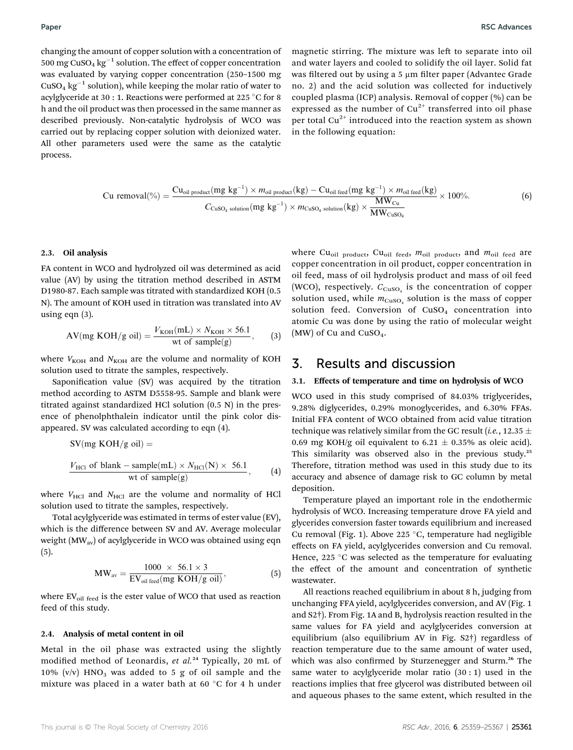changing the amount of copper solution with a concentration of 500 mg CuSO<sub>4</sub> kg<sup>-1</sup> solution. The effect of copper concentration was evaluated by varying copper concentration (250–1500 mg  $CuSO<sub>4</sub>$  kg<sup>-1</sup> solution), while keeping the molar ratio of water to acylglyceride at 30 : 1. Reactions were performed at 225 °C for 8 h and the oil product was then processed in the same manner as described previously. Non-catalytic hydrolysis of WCO was carried out by replacing copper solution with deionized water. All other parameters used were the same as the catalytic process.

magnetic stirring. The mixture was left to separate into oil and water layers and cooled to solidify the oil layer. Solid fat was filtered out by using a 5  $\mu$ m filter paper (Advantec Grade no. 2) and the acid solution was collected for inductively coupled plasma (ICP) analysis. Removal of copper (%) can be expressed as the number of  $Cu^{2+}$  transferred into oil phase per total  $Cu^{2+}$  introduced into the reaction system as shown in the following equation:

$$
Cu removal(^{0}_{0}) = \frac{Cu_{oil product}(mg kg^{-1}) \times m_{oil product}(kg) - Cu_{oil feed}(mg kg^{-1}) \times m_{oil feed}(kg)}{C_{CuSO_{4}\text{ solution}}(mg kg^{-1}) \times m_{CuSO_{4}\text{ solution}}(kg) \times \frac{MW_{Cu}}{MW_{CuSO_{4}}}
$$
(6)

#### 2.3. Oil analysis

FA content in WCO and hydrolyzed oil was determined as acid value (AV) by using the titration method described in ASTM D1980-87. Each sample was titrated with standardized KOH (0.5 N). The amount of KOH used in titration was translated into AV using eqn (3).

$$
AV(mg KOH/g oil) = \frac{V_{KOH}(mL) \times N_{KOH} \times 56.1}{wt of sample(g)},
$$
 (3)

where  $V_{\text{KOH}}$  and  $N_{\text{KOH}}$  are the volume and normality of KOH solution used to titrate the samples, respectively.

Saponification value (SV) was acquired by the titration method according to ASTM D5558-95. Sample and blank were titrated against standardized HCl solution (0.5 N) in the presence of phenolphthalein indicator until the pink color disappeared. SV was calculated according to eqn (4).

$$
SV(mg KOH/g oil) =
$$
  
\n
$$
\frac{V_{\text{HCl of blank}} - sample(mL) \times N_{\text{HCl}}(N) \times 56.1}{\text{wt of sample(g)}} , \qquad (4)
$$

where  $V_{\text{HCl}}$  and  $N_{\text{HCl}}$  are the volume and normality of HCl solution used to titrate the samples, respectively.

Total acylglyceride was estimated in terms of ester value (EV), which is the difference between SV and AV. Average molecular weight (MW<sub>av</sub>) of acylglyceride in WCO was obtained using eqn (5).

$$
MW_{\text{av}} = \frac{1000 \times 56.1 \times 3}{EV_{\text{oil feed}}(mg KOH/g \text{ oil})},
$$
(5)

where  $EV_{oil \text{ feed}}$  is the ester value of WCO that used as reaction feed of this study.

#### 2.4. Analysis of metal content in oil

Metal in the oil phase was extracted using the slightly modified method of Leonardis, et al.<sup>24</sup> Typically, 20 mL of 10% (v/v)  $HNO<sub>3</sub>$  was added to 5 g of oil sample and the mixture was placed in a water bath at 60  $\degree$ C for 4 h under where Cu<sub>oil product</sub>, Cu<sub>oil feed</sub>,  $m_{\text{oil}}$  product, and  $m_{\text{oil}}$  feed are copper concentration in oil product, copper concentration in oil feed, mass of oil hydrolysis product and mass of oil feed (WCO), respectively.  $C_{\text{CuSO}_4}$  is the concentration of copper solution used, while  $m_{\text{CuSO}_4}$  solution is the mass of copper solution feed. Conversion of  $CuSO<sub>4</sub>$  concentration into atomic Cu was done by using the ratio of molecular weight (MW) of Cu and  $CuSO<sub>4</sub>$ .

### 3. Results and discussion

#### 3.1. Effects of temperature and time on hydrolysis of WCO

WCO used in this study comprised of 84.03% triglycerides, 9.28% diglycerides, 0.29% monoglycerides, and 6.30% FFAs. Initial FFA content of WCO obtained from acid value titration technique was relatively similar from the GC result (*i.e.*, 12.35  $\pm$ 0.69 mg KOH/g oil equivalent to 6.21  $\pm$  0.35% as oleic acid). This similarity was observed also in the previous study.<sup>25</sup> Therefore, titration method was used in this study due to its accuracy and absence of damage risk to GC column by metal deposition.

Temperature played an important role in the endothermic hydrolysis of WCO. Increasing temperature drove FA yield and glycerides conversion faster towards equilibrium and increased Cu removal (Fig. 1). Above 225  $\degree$ C, temperature had negligible effects on FA yield, acylglycerides conversion and Cu removal. Hence, 225  $\degree$ C was selected as the temperature for evaluating the effect of the amount and concentration of synthetic wastewater.

All reactions reached equilibrium in about 8 h, judging from unchanging FFA yield, acylglycerides conversion, and AV (Fig. 1 and S2†). From Fig. 1A and B, hydrolysis reaction resulted in the same values for FA yield and acylglycerides conversion at equilibrium (also equilibrium AV in Fig. S2†) regardless of reaction temperature due to the same amount of water used, which was also confirmed by Sturzenegger and Sturm.<sup>26</sup> The same water to acylglyceride molar ratio  $(30:1)$  used in the reactions implies that free glycerol was distributed between oil and aqueous phases to the same extent, which resulted in the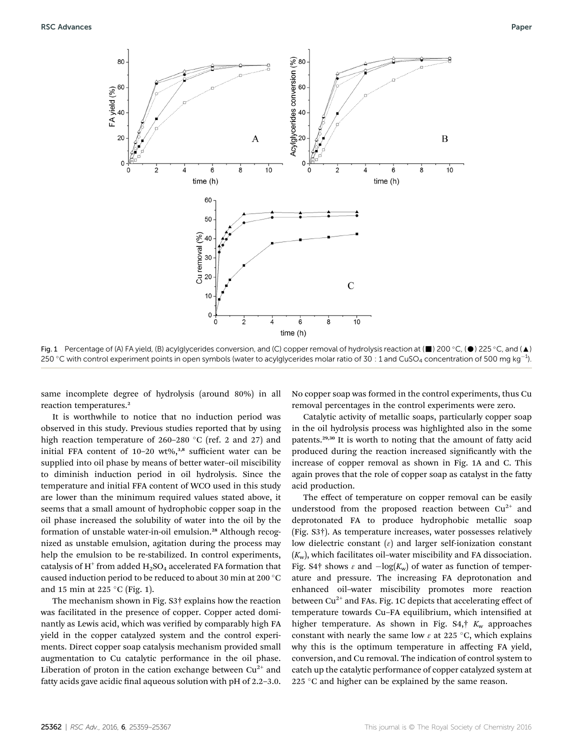

Fig. 1 Percentage of (A) FA yield, (B) acylglycerides conversion, and (C) copper removal of hydrolysis reaction at ( $\blacksquare$ ) 200 °C, ( $\spadesuit$ ) 225 °C, and ( $\spadesuit$ ) 250 °C with control experiment points in open symbols (water to acylglycerides molar ratio of 30  $\,$  1 and CuSO $_4$  concentration of 500 mg kg $^{-1}$ ).

same incomplete degree of hydrolysis (around 80%) in all reaction temperatures.<sup>2</sup>

It is worthwhile to notice that no induction period was observed in this study. Previous studies reported that by using high reaction temperature of 260–280  $\degree$ C (ref. 2 and 27) and initial FFA content of  $10-20$  wt%,<sup>3,8</sup> sufficient water can be supplied into oil phase by means of better water–oil miscibility to diminish induction period in oil hydrolysis. Since the temperature and initial FFA content of WCO used in this study are lower than the minimum required values stated above, it seems that a small amount of hydrophobic copper soap in the oil phase increased the solubility of water into the oil by the formation of unstable water-in-oil emulsion.<sup>28</sup> Although recognized as unstable emulsion, agitation during the process may help the emulsion to be re-stabilized. In control experiments, catalysis of  $H^+$  from added  $H_2SO_4$  accelerated FA formation that caused induction period to be reduced to about 30 min at 200  $^{\circ}{\rm C}$ and 15 min at 225  $\degree$ C (Fig. 1).

The mechanism shown in Fig. S3† explains how the reaction was facilitated in the presence of copper. Copper acted dominantly as Lewis acid, which was verified by comparably high FA yield in the copper catalyzed system and the control experiments. Direct copper soap catalysis mechanism provided small augmentation to Cu catalytic performance in the oil phase. Liberation of proton in the cation exchange between  $Cu^{2+}$  and fatty acids gave acidic final aqueous solution with  $pH$  of 2.2–3.0.

No copper soap was formed in the control experiments, thus Cu removal percentages in the control experiments were zero.

Catalytic activity of metallic soaps, particularly copper soap in the oil hydrolysis process was highlighted also in the some patents.29,30 It is worth to noting that the amount of fatty acid produced during the reaction increased significantly with the increase of copper removal as shown in Fig. 1A and C. This again proves that the role of copper soap as catalyst in the fatty acid production.

The effect of temperature on copper removal can be easily understood from the proposed reaction between  $Cu^{2+}$  and deprotonated FA to produce hydrophobic metallic soap (Fig. S3†). As temperature increases, water possesses relatively low dielectric constant  $(\varepsilon)$  and larger self-ionization constant  $(K_w)$ , which facilitates oil-water miscibility and FA dissociation. Fig. S4<sup>†</sup> shows  $\varepsilon$  and  $-\log(K_w)$  of water as function of temperature and pressure. The increasing FA deprotonation and enhanced oil–water miscibility promotes more reaction between  $Cu^{2+}$  and FAs. Fig. 1C depicts that accelerating effect of temperature towards Cu-FA equilibrium, which intensified at higher temperature. As shown in Fig.  $S4$ ,  $K_w$  approaches constant with nearly the same low  $\varepsilon$  at 225 °C, which explains why this is the optimum temperature in affecting FA yield, conversion, and Cu removal. The indication of control system to catch up the catalytic performance of copper catalyzed system at 225  $\degree$ C and higher can be explained by the same reason.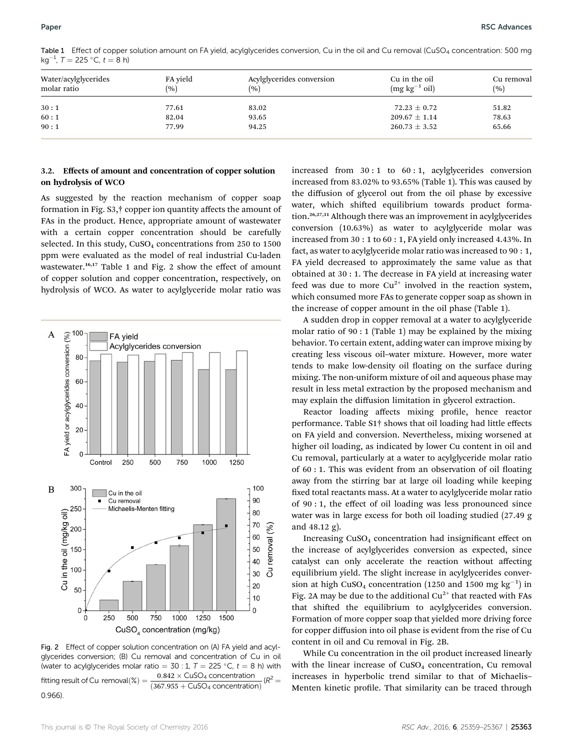Table 1 Effect of copper solution amount on FA yield, acylglycerides conversion, Cu in the oil and Cu removal (CuSO<sub>4</sub> concentration: 500 mg kg<sup>-1</sup>, T = 225 °C, t = 8 h)

| Water/acylglycerides<br>molar ratio | FA yield<br>(%) | Acylglycerides conversion<br>(%) | Cu in the oil<br>$(mg kg^{-1} oil)$ | Cu removal<br>(%) |
|-------------------------------------|-----------------|----------------------------------|-------------------------------------|-------------------|
| 30:1                                | 77.61           | 83.02                            | $72.23 \pm 0.72$                    | 51.82             |
| 60:1                                | 82.04           | 93.65                            | $209.67 \pm 1.14$                   | 78.63             |
| 90:1                                | 77.99           | 94.25                            | $260.73 \pm 3.52$                   | 65.66             |

#### 3.2. Effects of amount and concentration of copper solution on hydrolysis of WCO

As suggested by the reaction mechanism of copper soap formation in Fig. S3,† copper ion quantity affects the amount of FAs in the product. Hence, appropriate amount of wastewater with a certain copper concentration should be carefully selected. In this study,  $CuSO<sub>4</sub>$  concentrations from 250 to 1500 ppm were evaluated as the model of real industrial Cu-laden wastewater.<sup>16,17</sup> Table 1 and Fig. 2 show the effect of amount of copper solution and copper concentration, respectively, on hydrolysis of WCO. As water to acylglyceride molar ratio was



Fig. 2 Effect of copper solution concentration on (A) FA yield and acylglycerides conversion; (B) Cu removal and concentration of Cu in oil (water to acylglycerides molar ratio = 30 : 1,  $T = 225 \degree C$ ,  $t = 8$  h) with  $\frac{1}{225}$   $\frac{1}{225}$   $\frac{1}{225}$   $\frac{1}{225}$   $\frac{1}{225}$   $\frac{1}{225}$   $\frac{1}{225}$   $\frac{1}{225}$   $\frac{1}{225}$   $\frac{1}{225}$   $\frac{1}{225}$   $\frac{1}{225}$   $\$ fitting result of Cu removal $(\%) =$  $(367.955 + CuSO<sub>4</sub> concentration)$  $(R^2)$ 0.966).

increased from 30 : 1 to 60 : 1, acylglycerides conversion increased from 83.02% to 93.65% (Table 1). This was caused by the diffusion of glycerol out from the oil phase by excessive water, which shifted equilibrium towards product formation.26,27,31 Although there was an improvement in acylglycerides conversion (10.63%) as water to acylglyceride molar was increased from 30 : 1 to 60 : 1, FA yield only increased 4.43%. In fact, as water to acylglyceride molar ratio was increased to 90 : 1, FA yield decreased to approximately the same value as that obtained at 30 : 1. The decrease in FA yield at increasing water feed was due to more  $Cu^{2+}$  involved in the reaction system, which consumed more FAs to generate copper soap as shown in the increase of copper amount in the oil phase (Table 1).

A sudden drop in copper removal at a water to acylglyceride molar ratio of 90 : 1 (Table 1) may be explained by the mixing behavior. To certain extent, adding water can improve mixing by creating less viscous oil–water mixture. However, more water tends to make low-density oil floating on the surface during mixing. The non-uniform mixture of oil and aqueous phase may result in less metal extraction by the proposed mechanism and may explain the diffusion limitation in glycerol extraction.

Reactor loading affects mixing profile, hence reactor performance. Table S1† shows that oil loading had little effects on FA yield and conversion. Nevertheless, mixing worsened at higher oil loading, as indicated by lower Cu content in oil and Cu removal, particularly at a water to acylglyceride molar ratio of  $60:1$ . This was evident from an observation of oil floating away from the stirring bar at large oil loading while keeping fixed total reactants mass. At a water to acylglyceride molar ratio of 90 : 1, the effect of oil loading was less pronounced since water was in large excess for both oil loading studied (27.49 g and 48.12 g).

Increasing CuSO<sub>4</sub> concentration had insignificant effect on the increase of acylglycerides conversion as expected, since catalyst can only accelerate the reaction without affecting equilibrium yield. The slight increase in acylglycerides conversion at high CuSO<sub>4</sub> concentration (1250 and 1500 mg  $kg^{-1}$ ) in Fig. 2A may be due to the additional  $Cu^{2+}$  that reacted with FAs that shifted the equilibrium to acylglycerides conversion. Formation of more copper soap that yielded more driving force for copper diffusion into oil phase is evident from the rise of Cu content in oil and Cu removal in Fig. 2B.

While Cu concentration in the oil product increased linearly with the linear increase of CuSO<sub>4</sub> concentration, Cu removal increases in hyperbolic trend similar to that of Michaelis– Menten kinetic profile. That similarity can be traced through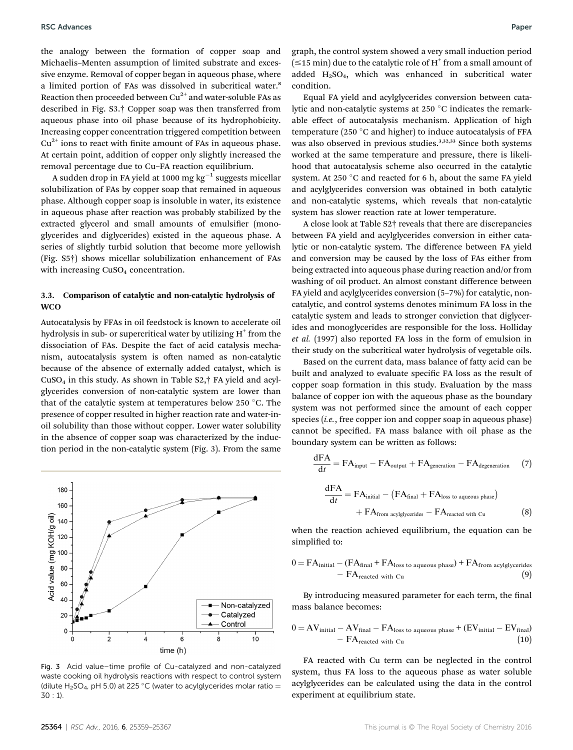the analogy between the formation of copper soap and Michaelis–Menten assumption of limited substrate and excessive enzyme. Removal of copper began in aqueous phase, where a limited portion of FAs was dissolved in subcritical water.<sup>8</sup> Reaction then proceeded between  $Cu^{2+}$  and water-soluble FAs as described in Fig. S3.† Copper soap was then transferred from aqueous phase into oil phase because of its hydrophobicity. Increasing copper concentration triggered competition between  $Cu<sup>2+</sup>$  ions to react with finite amount of FAs in aqueous phase. At certain point, addition of copper only slightly increased the removal percentage due to Cu–FA reaction equilibrium.

A sudden drop in FA yield at 1000 mg  $kg^{-1}$  suggests micellar solubilization of FAs by copper soap that remained in aqueous phase. Although copper soap is insoluble in water, its existence in aqueous phase after reaction was probably stabilized by the extracted glycerol and small amounts of emulsifier (monoglycerides and diglycerides) existed in the aqueous phase. A series of slightly turbid solution that become more yellowish (Fig. S5†) shows micellar solubilization enhancement of FAs with increasing CuSO<sub>4</sub> concentration.

#### 3.3. Comparison of catalytic and non-catalytic hydrolysis of **WCO**

Autocatalysis by FFAs in oil feedstock is known to accelerate oil hydrolysis in sub- or supercritical water by utilizing  $H^+$  from the dissociation of FAs. Despite the fact of acid catalysis mechanism, autocatalysis system is often named as non-catalytic because of the absence of externally added catalyst, which is  $CuSO<sub>4</sub>$  in this study. As shown in Table S2, $\dagger$  FA yield and acylglycerides conversion of non-catalytic system are lower than that of the catalytic system at temperatures below 250  $\degree$ C. The presence of copper resulted in higher reaction rate and water-inoil solubility than those without copper. Lower water solubility in the absence of copper soap was characterized by the induction period in the non-catalytic system (Fig. 3). From the same



Fig. 3 Acid value–time profile of Cu-catalyzed and non-catalyzed waste cooking oil hydrolysis reactions with respect to control system (dilute H<sub>2</sub>SO<sub>4</sub>, pH 5.0) at 225 °C (water to acylglycerides molar ratio = 30 : 1).

graph, the control system showed a very small induction period  $(\leq 15$  min) due to the catalytic role of H<sup>+</sup> from a small amount of added  $H<sub>2</sub>SO<sub>4</sub>$ , which was enhanced in subcritical water condition.

Equal FA yield and acylglycerides conversion between catalytic and non-catalytic systems at 250 $\degree$ C indicates the remarkable effect of autocatalysis mechanism. Application of high temperature (250 $\degree$ C and higher) to induce autocatalysis of FFA was also observed in previous studies.<sup>3,32,33</sup> Since both systems worked at the same temperature and pressure, there is likelihood that autocatalysis scheme also occurred in the catalytic system. At 250  $\degree$ C and reacted for 6 h, about the same FA yield and acylglycerides conversion was obtained in both catalytic and non-catalytic systems, which reveals that non-catalytic system has slower reaction rate at lower temperature.

A close look at Table S2† reveals that there are discrepancies between FA yield and acylglycerides conversion in either catalytic or non-catalytic system. The difference between FA yield and conversion may be caused by the loss of FAs either from being extracted into aqueous phase during reaction and/or from washing of oil product. An almost constant difference between FA yield and acylglycerides conversion (5–7%) for catalytic, noncatalytic, and control systems denotes minimum FA loss in the catalytic system and leads to stronger conviction that diglycerides and monoglycerides are responsible for the loss. Holliday et al. (1997) also reported FA loss in the form of emulsion in their study on the subcritical water hydrolysis of vegetable oils.

Based on the current data, mass balance of fatty acid can be built and analyzed to evaluate specific FA loss as the result of copper soap formation in this study. Evaluation by the mass balance of copper ion with the aqueous phase as the boundary system was not performed since the amount of each copper species (*i.e.*, free copper ion and copper soap in aqueous phase) cannot be specified. FA mass balance with oil phase as the boundary system can be written as follows:

$$
\frac{dFA}{dt} = FA_{input} - FA_{output} + FA_{generation} - FA_{degeneration}
$$
 (7)  

$$
\frac{dFA}{dt} = FA_{initial} - (FA_{final} + FA_{loss to aqueous phase}) + FA_{from acylglycerides} - FA_{reacted with Cu}
$$
 (8)

when the reaction achieved equilibrium, the equation can be simplified to:

$$
0 = FAinitial - (FAfinal + FAloss to aqueous phase) + FAfrom acylglycerides- FAreacted with Cu
$$
 (9)

By introducing measured parameter for each term, the final mass balance becomes:

$$
0 = AVinitial - AVfinal - FAloss to aqueous phase + (EVinitial - EVfinal)- FAreacted with Cu
$$
 (10)

FA reacted with Cu term can be neglected in the control system, thus FA loss to the aqueous phase as water soluble acylglycerides can be calculated using the data in the control experiment at equilibrium state.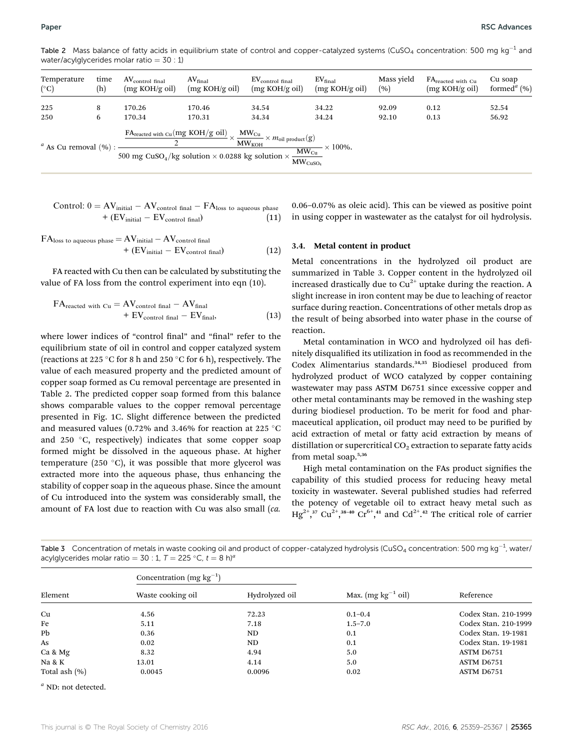Table 2 Mass balance of fatty acids in equilibrium state of control and copper-catalyzed systems (CuSO<sub>4</sub> concentration: 500 mg kg<sup>-1</sup> and water/acylglycerides molar ratio  $= 30 : 1$ )

| Temperature               | time | AV <sub>control final</sub> | AV <sub>final</sub>                                                                                                                                                                                                           | $EV_{control final}$        | $EV_{final}$                          | Mass yield | FA <sub>reacted</sub> with Cu | Cu soap                              |
|---------------------------|------|-----------------------------|-------------------------------------------------------------------------------------------------------------------------------------------------------------------------------------------------------------------------------|-----------------------------|---------------------------------------|------------|-------------------------------|--------------------------------------|
| $(^\circ C)$              | (h)  | (mg KOH/g oil)              | (mg KOH/g oil)                                                                                                                                                                                                                | (mg KOH/g oil)              | (mg KOH/g oil)                        | (%)        | (mg KOH/g oil)                | formed <sup><math>a</math></sup> (%) |
| 225                       | 8    | 170.26                      | 170.46                                                                                                                                                                                                                        | 34.54                       | 34.22                                 | 92.09      | 0.12                          | 52.54                                |
| 250                       | 6    | 170.34                      | 170.31                                                                                                                                                                                                                        | 34.34                       | 34.24                                 | 92.10      | 0.13                          | 56.92                                |
| $a$ As Cu removal $(\%):$ |      |                             | $\frac{\text{FA}_{\text{reacted with Cu}}(\text{mg KOH/g oil})}{\text{X}_{\text{cm}} \times m_{\text{coll}}} \times m_{\text{coll}}$ product(g)<br>500 mg CuSO <sub>4</sub> /kg solution $\times$ 0.0288 kg solution $\times$ | $MW_{KOH}$<br>$MW_{CuSO_4}$ | $\times$ 100%.<br>$\frac{MW_{Cu}}{H}$ |            |                               |                                      |

Control: 
$$
0 = AV_{initial} - AV_{control final} - FA_{loss}
$$
 to aqueous phase  
+  $(EV_{initial} - EV_{control final})$  (11)

$$
FAloss to aqueous phase = AVinitial - AVcontrol final+ (EVinitial - EVcontrol final)
$$
 (12)

FA reacted with Cu then can be calculated by substituting the value of FA loss from the control experiment into eqn (10).

$$
FA_{reacted with Cu} = AV_{control final} - AV_{final}
$$
  
+ 
$$
EV_{control final} - EV_{final},
$$
 (13)

where lower indices of "control final" and "final" refer to the equilibrium state of oil in control and copper catalyzed system (reactions at 225 °C for 8 h and 250 °C for 6 h), respectively. The value of each measured property and the predicted amount of copper soap formed as Cu removal percentage are presented in Table 2. The predicted copper soap formed from this balance shows comparable values to the copper removal percentage presented in Fig. 1C. Slight difference between the predicted and measured values (0.72% and 3.46% for reaction at 225  $^{\circ}$ C and 250  $\degree$ C, respectively) indicates that some copper soap formed might be dissolved in the aqueous phase. At higher temperature (250 $\degree$ C), it was possible that more glycerol was extracted more into the aqueous phase, thus enhancing the stability of copper soap in the aqueous phase. Since the amount of Cu introduced into the system was considerably small, the amount of FA lost due to reaction with Cu was also small (ca.

0.06–0.07% as oleic acid). This can be viewed as positive point in using copper in wastewater as the catalyst for oil hydrolysis.

#### 3.4. Metal content in product

Metal concentrations in the hydrolyzed oil product are summarized in Table 3. Copper content in the hydrolyzed oil increased drastically due to  $Cu^{2+}$  uptake during the reaction. A slight increase in iron content may be due to leaching of reactor surface during reaction. Concentrations of other metals drop as the result of being absorbed into water phase in the course of reaction.

Metal contamination in WCO and hydrolyzed oil has definitely disqualified its utilization in food as recommended in the Codex Alimentarius standards.34,35 Biodiesel produced from hydrolyzed product of WCO catalyzed by copper containing wastewater may pass ASTM D6751 since excessive copper and other metal contaminants may be removed in the washing step during biodiesel production. To be merit for food and pharmaceutical application, oil product may need to be purified by acid extraction of metal or fatty acid extraction by means of distillation or supercritical  $CO<sub>2</sub>$  extraction to separate fatty acids from metal soap.5,36

High metal contamination on the FAs product signifies the capability of this studied process for reducing heavy metal toxicity in wastewater. Several published studies had referred the potency of vegetable oil to extract heavy metal such as  $Hg^{2+}$ ,<sup>37</sup> Cu<sup>2+</sup>,<sup>38-40</sup> Cr<sup>6+</sup>,<sup>41</sup> and Cd<sup>2+</sup>.<sup>42</sup> The critical role of carrier

| Element       | Concentration (mg $kg^{-1}$ ) |                |                         | Reference            |  |
|---------------|-------------------------------|----------------|-------------------------|----------------------|--|
|               | Waste cooking oil             | Hydrolyzed oil | Max. $(mg kg^{-1} oil)$ |                      |  |
| Cu            | 4.56                          | 72.23          | $0.1 - 0.4$             | Codex Stan, 210-1999 |  |
| Fe            | 5.11                          | 7.18           | $1.5 - 7.0$             | Codex Stan, 210-1999 |  |
| Pb            | 0.36                          | ND             | 0.1                     | Codex Stan. 19-1981  |  |
| As            | 0.02                          | ND             | 0.1                     | Codex Stan. 19-1981  |  |
| Ca & Mg       | 8.32                          | 4.94           | 5.0                     | ASTM D6751           |  |
| Na & K        | 13.01                         | 4.14           | 5.0                     | ASTM D6751           |  |
| Total ash (%) | 0.0045                        | 0.0096         | 0.02                    | ASTM D6751           |  |

<code>Table 3 Concentration</code> of metals in waste cooking oil and product of copper-catalyzed hydrolysis (CuSO<sub>4</sub> concentration: 500 mg kg<sup>-1</sup>, water/ acylglycerides molar ratio = 30 : 1,  $T = 225$  °C,  $t = 8$  h)<sup>a</sup>

 $\textsuperscript{a}$  ND: not detected.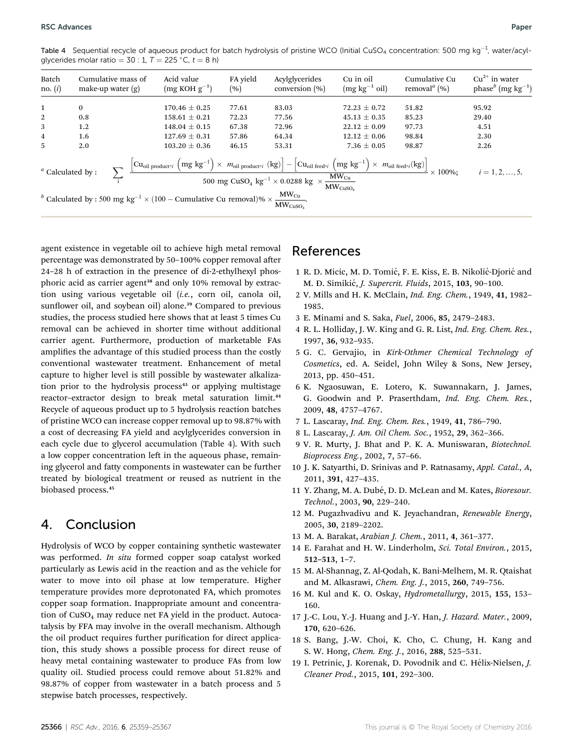Table 4  $\,$  Sequential recycle of aqueous product for batch hydrolysis of pristine WCO (Initial CuSO $_4$  concentration: 500 mg kg $^{-1}$ , water/acylglycerides molar ratio =  $30 : 1, T = 225 °C, t = 8 h$ 

| Batch<br>no. $(i)$                                                                                                                                                                                                                                                                                                                                                                                                                                                                                              | make-up water $(g)$ | Cumulative mass of | Acid value<br>$(mg KOH g^{-1})$ | FA yield<br>(%) | Acylglycerides<br>conversion (%) | Cu in oil<br>$(mg kg^{-1} oil)$ | Cumulative Cu<br>removal <sup><i>a</i></sup> (%) | $Cu^{2+}$ in water<br>phase <sup>b</sup> (mg kg <sup>-1</sup> ) |
|-----------------------------------------------------------------------------------------------------------------------------------------------------------------------------------------------------------------------------------------------------------------------------------------------------------------------------------------------------------------------------------------------------------------------------------------------------------------------------------------------------------------|---------------------|--------------------|---------------------------------|-----------------|----------------------------------|---------------------------------|--------------------------------------------------|-----------------------------------------------------------------|
| 1                                                                                                                                                                                                                                                                                                                                                                                                                                                                                                               | $\bf{0}$            |                    | $170.46 \pm 0.25$               | 77.61           | 83.03                            | $72.23 \pm 0.72$                | 51.82                                            | 95.92                                                           |
| 2                                                                                                                                                                                                                                                                                                                                                                                                                                                                                                               | 0.8                 |                    | $158.61 \pm 0.21$               | 72.23           | 77.56                            | $45.13 \pm 0.35$                | 85.23                                            | 29.40                                                           |
| 3                                                                                                                                                                                                                                                                                                                                                                                                                                                                                                               | 1.2                 |                    | $148.04 \pm 0.15$               | 67.38           | 72.96                            | $22.12 \pm 0.09$                | 97.73                                            | 4.51                                                            |
| $\overline{4}$                                                                                                                                                                                                                                                                                                                                                                                                                                                                                                  | 1.6                 |                    | $127.69 \pm 0.31$               | 57.86           | 64.34                            | $12.12 \pm 0.06$                | 98.84                                            | 2.30                                                            |
| $\overline{5}$                                                                                                                                                                                                                                                                                                                                                                                                                                                                                                  | 2.0                 |                    | $103.20 \pm 0.36$               | 46.15           | 53.31                            | 7.36 $\pm$ 0.05                 | 98.87                                            | 2.26                                                            |
| $\left[ \text{Cu}_{\text{oil product}^{\text{+}}} \left( \text{mg kg}^{-1} \right) \times \text{ M}_{\text{oil product}^{\text{+}}} \left( \text{kg} \right) \right] - \left[ \text{Cu}_{\text{oil feed}^{\text{-}} i} \left( \text{mg kg}^{-1} \right) \times \text{ M}_{\text{oil feed}^{\text{-}} i} \left( \text{kg} \right) \right] \times 100\% ;$<br>$a$ Calculated by:<br>$500 \mathrm{\; mg\; CuSO_4 \; kg}^{-1} \times 0.0288 \mathrm{\; kg \;} \times \frac{\mathrm{MW_{Cu}}}{\mathrm{MW_{CuSO_4}}}$ |                     |                    |                                 |                 |                                  |                                 |                                                  | $i = 1, 2, , 5$ .                                               |
| <sup>b</sup> Calculated by : 500 mg kg <sup>-1</sup> × (100 – Cumulative Cu removal)% × $\frac{MW_{Cu}}{MW_{CuSO_4}}$ .                                                                                                                                                                                                                                                                                                                                                                                         |                     |                    |                                 |                 |                                  |                                 |                                                  |                                                                 |

agent existence in vegetable oil to achieve high metal removal percentage was demonstrated by 50-100% copper removal after 24–28 h of extraction in the presence of di-2-ethylhexyl phosphoric acid as carrier agent<sup>38</sup> and only 10% removal by extraction using various vegetable oil (i.e., corn oil, canola oil, sunflower oil, and soybean oil) alone.<sup>39</sup> Compared to previous studies, the process studied here shows that at least 5 times Cu removal can be achieved in shorter time without additional carrier agent. Furthermore, production of marketable FAs amplifies the advantage of this studied process than the costly conventional wastewater treatment. Enhancement of metal capture to higher level is still possible by wastewater alkalization prior to the hydrolysis process<sup>43</sup> or applying multistage reactor-extractor design to break metal saturation limit.<sup>44</sup> Recycle of aqueous product up to 5 hydrolysis reaction batches of pristine WCO can increase copper removal up to 98.87% with a cost of decreasing FA yield and acylglycerides conversion in each cycle due to glycerol accumulation (Table 4). With such a low copper concentration left in the aqueous phase, remaining glycerol and fatty components in wastewater can be further treated by biological treatment or reused as nutrient in the biobased process.<sup>45</sup>

## 4. Conclusion

Hydrolysis of WCO by copper containing synthetic wastewater was performed. In situ formed copper soap catalyst worked particularly as Lewis acid in the reaction and as the vehicle for water to move into oil phase at low temperature. Higher temperature provides more deprotonated FA, which promotes copper soap formation. Inappropriate amount and concentration of  $CuSO<sub>4</sub>$  may reduce net FA yield in the product. Autocatalysis by FFA may involve in the overall mechanism. Although the oil product requires further purification for direct application, this study shows a possible process for direct reuse of heavy metal containing wastewater to produce FAs from low quality oil. Studied process could remove about 51.82% and 98.87% of copper from wastewater in a batch process and 5 stepwise batch processes, respectively.

## References

- 1 R. D. Micic, M. D. Tomić, F. E. Kiss, E. B. Nikolić-Djorić and M. Đ. Simikić, *J. Supercrit. Fluids*, 2015, 103, 90-100.
- 2 V. Mills and H. K. McClain, Ind. Eng. Chem., 1949, 41, 1982– 1985.
- 3 E. Minami and S. Saka, Fuel, 2006, 85, 2479–2483.
- 4 R. L. Holliday, J. W. King and G. R. List, Ind. Eng. Chem. Res., 1997, 36, 932–935.
- 5 G. C. Gervajio, in Kirk-Othmer Chemical Technology of Cosmetics, ed. A. Seidel, John Wiley & Sons, New Jersey, 2013, pp. 450–451.
- 6 K. Ngaosuwan, E. Lotero, K. Suwannakarn, J. James, G. Goodwin and P. Praserthdam, Ind. Eng. Chem. Res., 2009, 48, 4757–4767.
- 7 L. Lascaray, Ind. Eng. Chem. Res., 1949, 41, 786–790.
- 8 L. Lascaray, J. Am. Oil Chem. Soc., 1952, 29, 362–366.
- 9 V. R. Murty, J. Bhat and P. K. A. Muniswaran, Biotechnol. Bioprocess Eng., 2002, 7, 57–66.
- 10 J. K. Satyarthi, D. Srinivas and P. Ratnasamy, Appl. Catal., A, 2011, 391, 427–435.
- 11 Y. Zhang, M. A. Dubé, D. D. McLean and M. Kates, Bioresour. Technol., 2003, 90, 229–240.
- 12 M. Pugazhvadivu and K. Jeyachandran, Renewable Energy, 2005, 30, 2189–2202.
- 13 M. A. Barakat, Arabian J. Chem., 2011, 4, 361–377.
- 14 E. Farahat and H. W. Linderholm, Sci. Total Environ., 2015, 512–513, 1–7.
- 15 M. Al-Shannag, Z. Al-Qodah, K. Bani-Melhem, M. R. Qtaishat and M. Alkasrawi, Chem. Eng. J., 2015, 260, 749–756.
- 16 M. Kul and K. O. Oskay, Hydrometallurgy, 2015, 155, 153– 160.
- 17 J.-C. Lou, Y.-J. Huang and J.-Y. Han, J. Hazard. Mater., 2009, 170, 620–626.
- 18 S. Bang, J.-W. Choi, K. Cho, C. Chung, H. Kang and S. W. Hong, Chem. Eng. J., 2016, 288, 525–531.
- 19 I. Petrinic, J. Korenak, D. Povodnik and C. Hélix-Nielsen, J. Cleaner Prod., 2015, 101, 292–300.